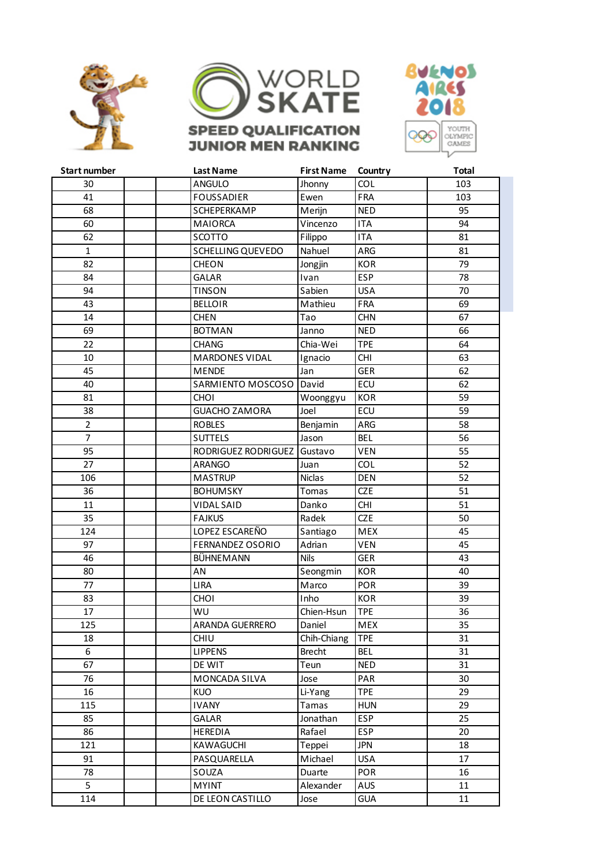





| <b>Start number</b> | <b>Last Name</b>       | <b>First Name</b> | Country    | <b>Total</b> |  |
|---------------------|------------------------|-------------------|------------|--------------|--|
| 30                  | <b>ANGULO</b>          | Jhonny            | COL        | 103          |  |
| 41                  | <b>FOUSSADIER</b>      | Ewen              | FRA        | 103          |  |
| 68                  | SCHEPERKAMP            | Merijn            | <b>NED</b> | 95           |  |
| 60                  | <b>MAIORCA</b>         | Vincenzo          | <b>ITA</b> | 94           |  |
| 62                  | <b>SCOTTO</b>          | Filippo           | <b>ITA</b> | 81           |  |
| $\mathbf{1}$        | SCHELLING QUEVEDO      | Nahuel            | ARG        | 81           |  |
| 82                  | <b>CHEON</b>           | Jongjin           | <b>KOR</b> | 79           |  |
| 84                  | <b>GALAR</b>           | Ivan              | <b>ESP</b> | 78           |  |
| 94                  | <b>TINSON</b>          | Sabien            | <b>USA</b> | 70           |  |
| 43                  | <b>BELLOIR</b>         | Mathieu           | FRA        | 69           |  |
| 14                  | <b>CHEN</b>            | Tao               | <b>CHN</b> | 67           |  |
| 69                  | <b>BOTMAN</b>          | Janno             | <b>NED</b> | 66           |  |
| 22                  | <b>CHANG</b>           | Chia-Wei          | <b>TPE</b> | 64           |  |
| 10                  | <b>MARDONES VIDAL</b>  | Ignacio           | <b>CHI</b> | 63           |  |
| 45                  | <b>MENDE</b>           | Jan               | <b>GER</b> | 62           |  |
| 40                  | SARMIENTO MOSCOSO      | David             | ECU        | 62           |  |
| 81                  | <b>CHOI</b>            | Woonggyu          | <b>KOR</b> | 59           |  |
| 38                  | <b>GUACHO ZAMORA</b>   | Joel              | ECU        | 59           |  |
| $\overline{2}$      | <b>ROBLES</b>          | Benjamin          | ARG        | 58           |  |
| $\overline{7}$      | <b>SUTTELS</b>         | Jason             | <b>BEL</b> | 56           |  |
| 95                  | RODRIGUEZ RODRIGUEZ    | Gustavo           | VEN        | 55           |  |
| 27                  | <b>ARANGO</b>          | Juan              | <b>COL</b> | 52           |  |
| 106                 | <b>MASTRUP</b>         | <b>Niclas</b>     | <b>DEN</b> | 52           |  |
| 36                  | <b>BOHUMSKY</b>        | Tomas             | <b>CZE</b> | 51           |  |
| 11                  | <b>VIDAL SAID</b>      | Danko             | <b>CHI</b> | 51           |  |
| 35                  | <b>FAJKUS</b>          | Radek             | <b>CZE</b> | 50           |  |
| 124                 | LOPEZ ESCAREÑO         | Santiago          | <b>MEX</b> | 45           |  |
| 97                  | FERNANDEZ OSORIO       | Adrian            | <b>VEN</b> | 45           |  |
| 46                  | BÜHNEMANN              | <b>Nils</b>       | <b>GER</b> | 43           |  |
| 80                  | AN                     | Seongmin          | <b>KOR</b> | 40           |  |
| 77                  | <b>LIRA</b>            | Marco             | POR        | 39           |  |
| 83                  | <b>CHOI</b>            | Inho              | <b>KOR</b> | 39           |  |
| 17                  | WU                     | Chien-Hsun        | <b>TPE</b> | 36           |  |
| 125                 | <b>ARANDA GUERRERO</b> | Daniel            | <b>MEX</b> | 35           |  |
| 18                  | CHIU                   | Chih-Chiang       | <b>TPE</b> | 31           |  |
| 6                   | <b>LIPPENS</b>         | <b>Brecht</b>     | <b>BEL</b> | 31           |  |
| 67                  | DE WIT                 | Teun              | <b>NED</b> | 31           |  |
| 76                  | MONCADA SILVA          | Jose              | PAR        | 30           |  |
| 16                  | <b>KUO</b>             | Li-Yang           | <b>TPE</b> | 29           |  |
| 115                 | <b>IVANY</b>           | Tamas             | <b>HUN</b> | 29           |  |
| 85                  | <b>GALAR</b>           | Jonathan          | <b>ESP</b> | 25           |  |
| 86                  | <b>HEREDIA</b>         | Rafael            | <b>ESP</b> | 20           |  |
| 121                 | KAWAGUCHI              | Teppei            | <b>JPN</b> | 18           |  |
| 91                  | PASQUARELLA            | Michael           | <b>USA</b> | 17           |  |
| 78                  | SOUZA                  | Duarte            | <b>POR</b> | 16           |  |
| 5                   | <b>MYINT</b>           | Alexander         | AUS        | 11           |  |
| 114                 | DE LEON CASTILLO       |                   | <b>GUA</b> | 11           |  |
|                     |                        | Jose              |            |              |  |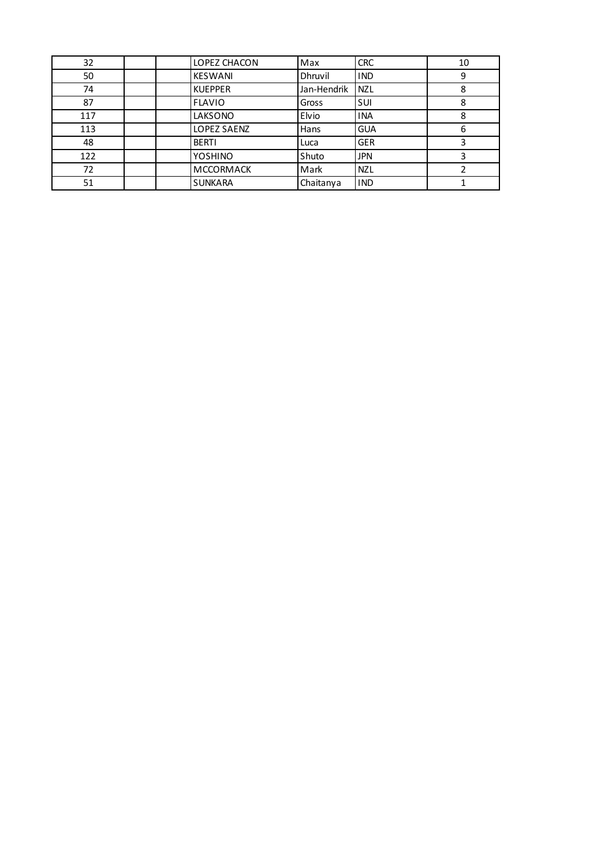| 32  | LOPEZ CHACON     | Max         | <b>CRC</b> | 10 |
|-----|------------------|-------------|------------|----|
| 50  | <b>KESWANI</b>   | Dhruvil     | <b>IND</b> | 9  |
| 74  | <b>KUEPPER</b>   | Jan-Hendrik | <b>NZL</b> | 8  |
| 87  | <b>FLAVIO</b>    | Gross       | SUI        | 8  |
| 117 | LAKSONO          | Elvio       | <b>INA</b> | 8  |
| 113 | LOPEZ SAENZ      | Hans        | <b>GUA</b> | 6  |
| 48  | <b>BERTI</b>     | Luca        | <b>GER</b> |    |
| 122 | <b>YOSHINO</b>   | Shuto       | <b>JPN</b> |    |
| 72  | <b>MCCORMACK</b> | Mark        | <b>NZL</b> |    |
| 51  | <b>SUNKARA</b>   | Chaitanya   | <b>IND</b> |    |